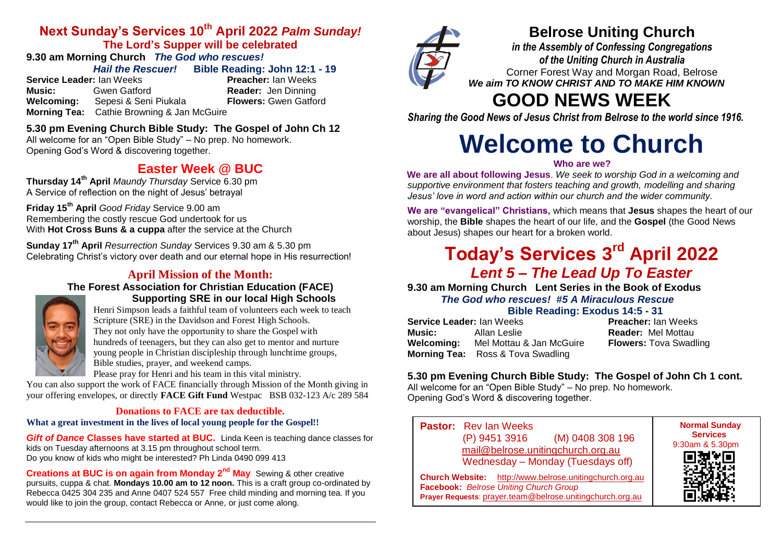### **Next Sunday's Services 10th April 2022** *Palm Sunday!* **The Lord's Supper will be celebrated**

# **9.30 am Morning Church** *The God who rescues!*

*Hail the Rescuer!* **Bible Reading: John 12:1 - 19**

**Service Leader:** Ian Weeks **Preacher:** Ian Weeks **Music:** Gwen Gatford **Reader:** Jen Dinning<br> **Welcoming:** Sepesi & Seni Piukala **Rickers:** Gwen Gatford **Sepesi & Seni Piukala Morning Tea:** Cathie Browning & Jan McGuire

## **5.30 pm Evening Church Bible Study: The Gospel of John Ch 12**

All welcome for an "Open Bible Study" – No prep. No homework. Opening God's Word & discovering together.

## **Easter Week @ BUC**

**Thursday 14th April** *Maundy Thursday* Service 6.30 pm A Service of reflection on the night of Jesus' betrayal

**Friday 15th April** *Good Friday* Service 9.00 am Remembering the costly rescue God undertook for us With **Hot Cross Buns & a cuppa** after the service at the Church

**Sunday 17th April** *Resurrection Sunday* Services 9.30 am & 5.30 pm Celebrating Christ's victory over death and our eternal hope in His resurrection!

### **April Mission of the Month:**

**The Forest Association for Christian Education (FACE)**



### **Supporting SRE in our local High Schools** Henri Simpson leads a faithful team of volunteers each week to teach

Scripture (SRE) in the Davidson and Forest High Schools. They not only have the opportunity to share the Gospel with hundreds of teenagers, but they can also get to mentor and nurture young people in Christian discipleship through lunchtime groups, Bible studies, prayer, and weekend camps.

Please pray for Henri and his team in this vital ministry.

You can also support the work of FACE financially through Mission of the Month giving in your offering envelopes, or directly **FACE Gift Fund** Westpac BSB 032-123 A/c 289 584

### **Donations to FACE are tax deductible.**

### **What a great investment in the lives of local young people for the Gospel!!**

*Gift of Dance* **Classes have started at BUC.** Linda Keen is teaching dance classes for kids on Tuesday afternoons at 3.15 pm throughout school term. Do you know of kids who might be interested? Ph Linda 0490 099 413

**Creations at BUC is on again from Monday 2nd May** Sewing & other creative pursuits, cuppa & chat. **Mondays 10.00 am to 12 noon.** This is a craft group co-ordinated by Rebecca 0425 304 235 and Anne 0407 524 557 Free child minding and morning tea. If you would like to join the group, contact Rebecca or Anne, or just come along.



# **Belrose Uniting Church**

*in the Assembly of Confessing Congregations of the Uniting Church in Australia* Corner Forest Way and Morgan Road, Belrose *We aim TO KNOW CHRIST AND TO MAKE HIM KNOWN*

# **GOOD NEWS WEEK**

*Sharing the Good News of Jesus Christ from Belrose to the world since 1916.*

# **Welcome to Church**

### **Who are we?**

**We are all about following Jesus**. *We seek to worship God in a welcoming and supportive environment that fosters teaching and growth, modelling and sharing Jesus' love in word and action within our church and the wider community.*

**We are "evangelical" Christians,** which means that **Jesus** shapes the heart of our worship, the **Bible** shapes the heart of our life, and the **Gospel** (the Good News about Jesus) shapes our heart for a broken world.

# **Today's Services 3 rd April 2022**  *Lent 5 – The Lead Up To Easter*

**9.30 am Morning Church Lent Series in the Book of Exodus** *The God who rescues!**#5 A Miraculous Rescue* **Bible Reading: Exodus 14:5 - 31**

| <b>Service Leader: Ian Weeks</b> |                                          | <b>Preacher: Ian Weeks</b>    |
|----------------------------------|------------------------------------------|-------------------------------|
| Music:                           | Allan Leslie                             | <b>Reader: Mel Mottau</b>     |
| Welcoming:                       | Mel Mottau & Jan McGuire                 | <b>Flowers: Tova Swadling</b> |
|                                  | <b>Morning Tea:</b> Ross & Tova Swadling |                               |

### **5.30 pm Evening Church Bible Study: The Gospel of John Ch 1 cont.**

All welcome for an "Open Bible Study" – No prep. No homework. Opening God's Word & discovering together.